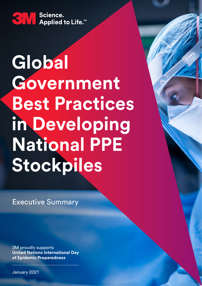

## **Global Government Best Practices in Developing National PPE Stockpiles**

Executive Summary

3M proudly supports **United Nations International Day of Epidemic Preparedness**

January 2021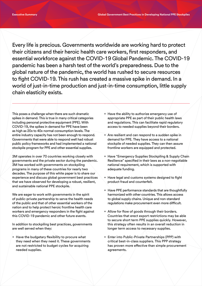Every life is precious. Governments worldwide are working hard to protect their citizens and their heroic health care workers, first responders, and essential workforce against the COVID-19 Global Pandemic. The COVID-19 pandemic has been a harsh test of the world's preparedness. Due to the global nature of the pandemic, the world has rushed to secure resources to fight COVID-19. This rush has created a massive spike in demand. In a world of just-in-time production and just-in-time consumption, little supply chain elasticity exists.

This poses a challenge when there are such dramatic spikes in demand. This is true in many critical categories including personal protective equipment (PPE). With COVID-19, the spikes in demand for PPE have been as high as 20x to 40x normal consumption levels. The entire industry capacity has not been enough to respond. Governments that were able to respond well had robust public policy frameworks and had implemented a national stockpile program for PPE and other essential supplies.

3M operates in over 70 countries working closely with governments and the private sector during the pandemic. 3M has worked with governments on stockpiling programs in many of these countries for nearly two decades. The purpose of this white paper is to share our experience and discuss global government best practices that we have observed for developing a robust, resilient, and sustainable national PPE stockpile.

We are eager to work with governments in the spirit of public-private partnership to serve the health needs of the public and that of other essential workers of the nation and to help protect heroic frontline health care workers and emergency responders in the fight against this COVID-19 pandemic and other future events.

In addition to stockpiling best practices, governments are well served when they:

 $+$  Have the budgetary flexibility to procure what they need when they need it. These governments are not restricted to budget cycles for acquiring needed supplies.

- $+$  Have the ability to authorize emergency use of appropriate PPE as part of their public health laws and regulations. This can facilitate rapid regulatory access to needed supplies beyond their borders.
- + Are resilient and can respond to a sudden spike in demand for PPE. They have access to a national stockpile of needed supplies. They can then assure frontline workers are equipped and protected.
- + Have "Emergency Supplies Stockpiling & Supply Chain Resilience" specified in their laws as a non-negotiable national requirement, which is supported with adequate funding.
- + Have legal and customs systems designed to fight product fraud and counterfeit.
- + Have PPE performance standards that are thoughtfully harmonized with other countries. This allows access to global supply chains. Unique and non-standard regulations make procurement even more difficult.
- + Allow for flow of goods through their borders. Countries that erect export restrictions may be able to secure short term PPE supplies quickly. However, this strategy often results in an overall reduction in longer term access to necessary supplies.
- + Enter into Public-Private Partnerships (PPP) with critical best-in-class suppliers. This PPP strategy has proven more effective than simple procurement agreements.